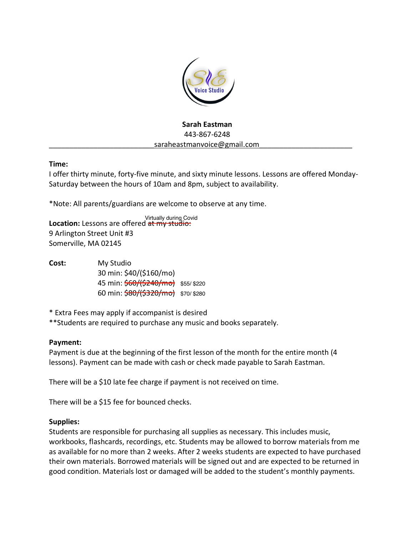

# **Sarah Eastman** 443-867-6248 saraheastmanvoice@gmail.com

## **Time:**

I offer thirty minute, forty-five minute, and sixty minute lessons. Lessons are offered Monday-Saturday between the hours of 10am and 8pm, subject to availability.

\*Note: All parents/guardians are welcome to observe at any time.

**Location:** Lessons are offered at my studio: 9 Arlington Street Unit #3 Somerville, MA 02145

**Cost:** My Studio 30 min: \$40/(\$160/mo) 45 min:  $\frac{60}{3240}$  mo \$55/ \$220 60 min: \$80/(\$320/mo) \$70/\$280 Virtually during Covid<br>| <del>at my studio:</del><br>| 3160/mo<br>| 32<del>0/mo}</del> \$55/ \$220<br>| 320<del>/mo}</del> \$70/ \$280

\* Extra Fees may apply if accompanist is desired

\*\*Students are required to purchase any music and books separately.

# **Payment:**

Payment is due at the beginning of the first lesson of the month for the entire month (4 lessons). Payment can be made with cash or check made payable to Sarah Eastman.

There will be a \$10 late fee charge if payment is not received on time.

There will be a \$15 fee for bounced checks.

#### **Supplies:**

Students are responsible for purchasing all supplies as necessary. This includes music, workbooks, flashcards, recordings, etc. Students may be allowed to borrow materials from me as available for no more than 2 weeks. After 2 weeks students are expected to have purchased their own materials. Borrowed materials will be signed out and are expected to be returned in good condition. Materials lost or damaged will be added to the student's monthly payments.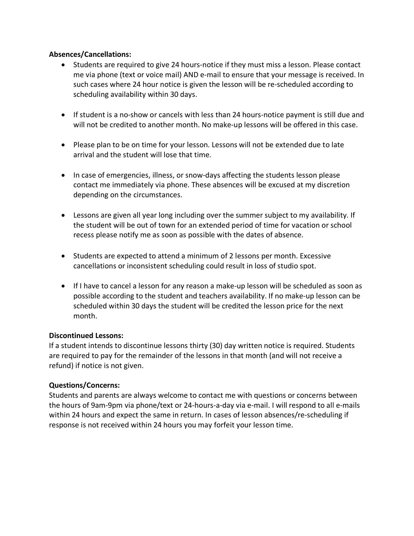## **Absences/Cancellations:**

- Students are required to give 24 hours-notice if they must miss a lesson. Please contact me via phone (text or voice mail) AND e-mail to ensure that your message is received. In such cases where 24 hour notice is given the lesson will be re-scheduled according to scheduling availability within 30 days.
- If student is a no-show or cancels with less than 24 hours-notice payment is still due and will not be credited to another month. No make-up lessons will be offered in this case.
- Please plan to be on time for your lesson. Lessons will not be extended due to late arrival and the student will lose that time.
- In case of emergencies, illness, or snow-days affecting the students lesson please contact me immediately via phone. These absences will be excused at my discretion depending on the circumstances.
- Lessons are given all year long including over the summer subject to my availability. If the student will be out of town for an extended period of time for vacation or school recess please notify me as soon as possible with the dates of absence.
- Students are expected to attend a minimum of 2 lessons per month. Excessive cancellations or inconsistent scheduling could result in loss of studio spot.
- If I have to cancel a lesson for any reason a make-up lesson will be scheduled as soon as possible according to the student and teachers availability. If no make-up lesson can be scheduled within 30 days the student will be credited the lesson price for the next month.

## **Discontinued Lessons:**

If a student intends to discontinue lessons thirty (30) day written notice is required. Students are required to pay for the remainder of the lessons in that month (and will not receive a refund) if notice is not given.

#### **Questions/Concerns:**

Students and parents are always welcome to contact me with questions or concerns between the hours of 9am-9pm via phone/text or 24-hours-a-day via e-mail. I will respond to all e-mails within 24 hours and expect the same in return. In cases of lesson absences/re-scheduling if response is not received within 24 hours you may forfeit your lesson time.